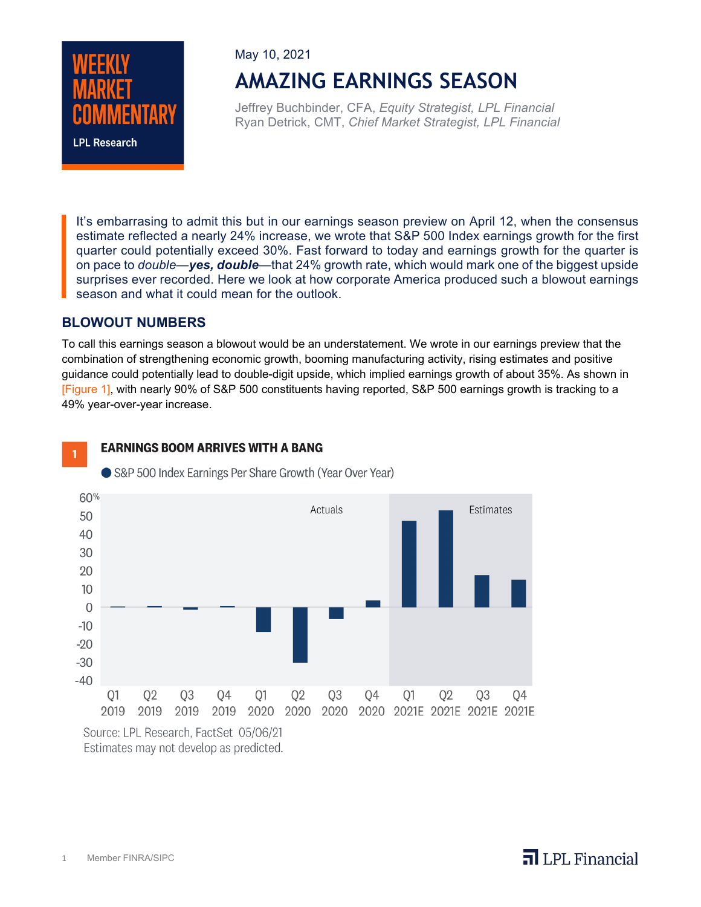

May 10, 2021

# **AMAZING EARNINGS SEASON**

Jeffrey Buchbinder, CFA, *Equity Strategist, LPL Financial* Ryan Detrick, CMT, *Chief Market Strategist, LPL Financial*

It's embarrasing to admit this but in our earnings season preview on April 12, when the consensus estimate reflected a nearly 24% increase, we wrote that S&P 500 Index earnings growth for the first quarter could potentially exceed 30%. Fast forward to today and earnings growth for the quarter is on pace to *double*—*yes, double*—that 24% growth rate, which would mark one of the biggest upside surprises ever recorded. Here we look at how corporate America produced such a blowout earnings season and what it could mean for the outlook.

#### **BLOWOUT NUMBERS**

To call this earnings season a blowout would be an understatement. We wrote in our earnings preview that the combination of strengthening economic growth, booming manufacturing activity, rising estimates and positive guidance could potentially lead to double-digit upside, which implied earnings growth of about 35%. As shown in [Figure 1], with nearly 90% of S&P 500 constituents having reported, S&P 500 earnings growth is tracking to a 49% year-over-year increase.



#### **EARNINGS BOOM ARRIVES WITH A BANG**



S&P 500 Index Earnings Per Share Growth (Year Over Year)

Source: LPL Research, FactSet 05/06/21 Estimates may not develop as predicted.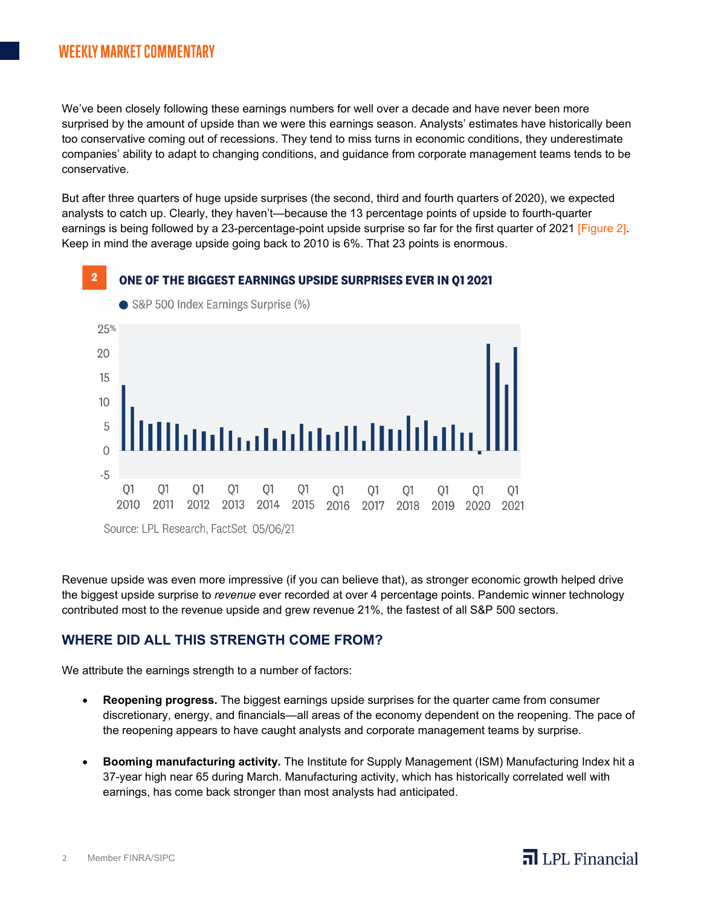### **WEEKLY MARKET COMMENTARY**

We've been closely following these earnings numbers for well over a decade and have never been more surprised by the amount of upside than we were this earnings season. Analysts' estimates have historically been too conservative coming out of recessions. They tend to miss turns in economic conditions, they underestimate companies' ability to adapt to changing conditions, and guidance from corporate management teams tends to be conservative.

But after three quarters of huge upside surprises (the second, third and fourth quarters of 2020), we expected analysts to catch up. Clearly, they haven't—because the 13 percentage points of upside to fourth-quarter earnings is being followed by a 23-percentage-point upside surprise so far for the first quarter of 2021 [Figure 2]. Keep in mind the average upside going back to 2010 is 6%. That 23 points is enormous.



Revenue upside was even more impressive (if you can believe that), as stronger economic growth helped drive the biggest upside surprise to *revenue* ever recorded at over 4 percentage points. Pandemic winner technology contributed most to the revenue upside and grew revenue 21%, the fastest of all S&P 500 sectors.

#### **WHERE DID ALL THIS STRENGTH COME FROM?**

We attribute the earnings strength to a number of factors:

- **Reopening progress.** The biggest earnings upside surprises for the quarter came from consumer discretionary, energy, and financials—all areas of the economy dependent on the reopening. The pace of the reopening appears to have caught analysts and corporate management teams by surprise.
- **Booming manufacturing activity.** The Institute for Supply Management (ISM) Manufacturing Index hit a 37-year high near 65 during March. Manufacturing activity, which has historically correlated well with earnings, has come back stronger than most analysts had anticipated.

 $\overline{\mathbf{a}}$  LPL Financial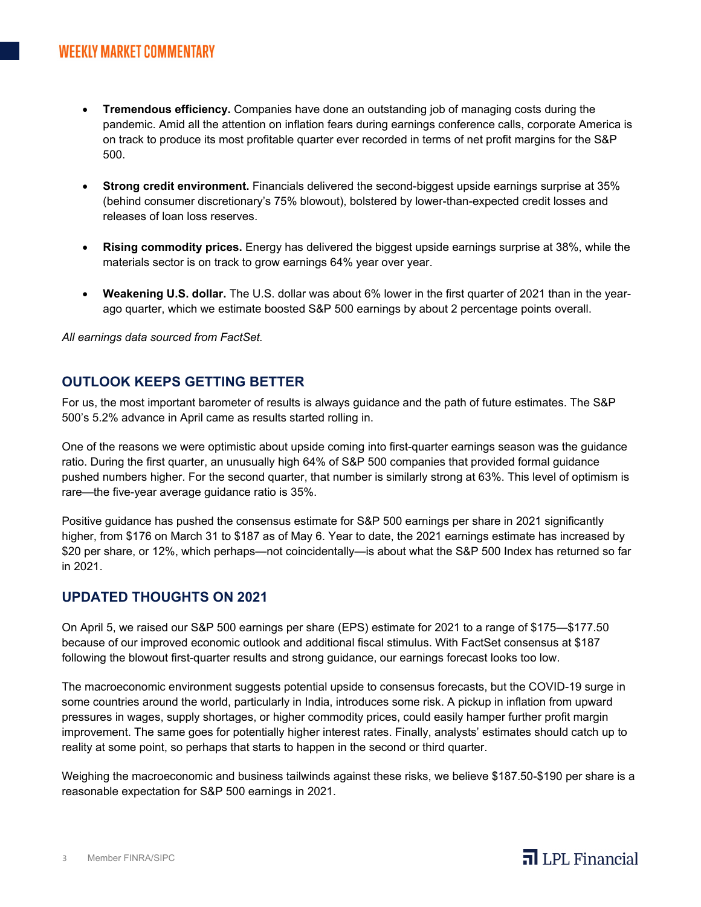- **Tremendous efficiency.** Companies have done an outstanding job of managing costs during the pandemic. Amid all the attention on inflation fears during earnings conference calls, corporate America is on track to produce its most profitable quarter ever recorded in terms of net profit margins for the S&P 500.
- **Strong credit environment.** Financials delivered the second-biggest upside earnings surprise at 35% (behind consumer discretionary's 75% blowout), bolstered by lower-than-expected credit losses and releases of loan loss reserves.
- **Rising commodity prices.** Energy has delivered the biggest upside earnings surprise at 38%, while the materials sector is on track to grow earnings 64% year over year.
- **Weakening U.S. dollar.** The U.S. dollar was about 6% lower in the first quarter of 2021 than in the yearago quarter, which we estimate boosted S&P 500 earnings by about 2 percentage points overall.

*All earnings data sourced from FactSet.*

#### **OUTLOOK KEEPS GETTING BETTER**

For us, the most important barometer of results is always guidance and the path of future estimates. The S&P 500's 5.2% advance in April came as results started rolling in.

One of the reasons we were optimistic about upside coming into first-quarter earnings season was the guidance ratio. During the first quarter, an unusually high 64% of S&P 500 companies that provided formal guidance pushed numbers higher. For the second quarter, that number is similarly strong at 63%. This level of optimism is rare—the five-year average guidance ratio is 35%.

Positive guidance has pushed the consensus estimate for S&P 500 earnings per share in 2021 significantly higher, from \$176 on March 31 to \$187 as of May 6. Year to date, the 2021 earnings estimate has increased by \$20 per share, or 12%, which perhaps—not coincidentally—is about what the S&P 500 Index has returned so far in 2021.

#### **UPDATED THOUGHTS ON 2021**

On April 5, we raised our S&P 500 earnings per share (EPS) estimate for 2021 to a range of \$175—\$177.50 because of our improved economic outlook and additional fiscal stimulus. With FactSet consensus at \$187 following the blowout first-quarter results and strong guidance, our earnings forecast looks too low.

The macroeconomic environment suggests potential upside to consensus forecasts, but the COVID-19 surge in some countries around the world, particularly in India, introduces some risk. A pickup in inflation from upward pressures in wages, supply shortages, or higher commodity prices, could easily hamper further profit margin improvement. The same goes for potentially higher interest rates. Finally, analysts' estimates should catch up to reality at some point, so perhaps that starts to happen in the second or third quarter.

Weighing the macroeconomic and business tailwinds against these risks, we believe \$187.50-\$190 per share is a reasonable expectation for S&P 500 earnings in 2021.

## $\overline{\mathbf{a}}$  LPL Financial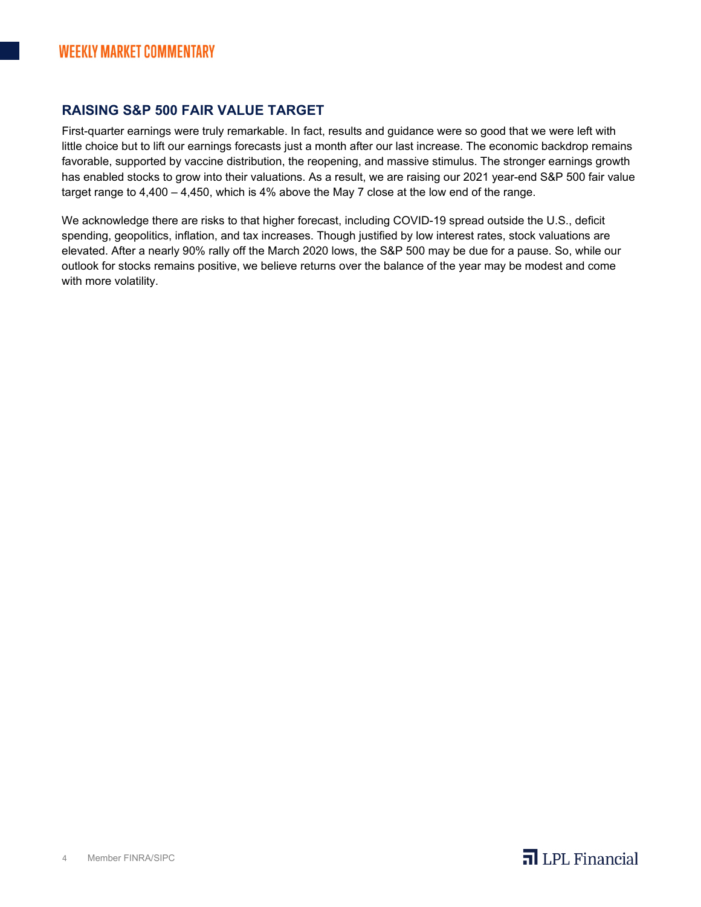#### **RAISING S&P 500 FAIR VALUE TARGET**

First-quarter earnings were truly remarkable. In fact, results and guidance were so good that we were left with little choice but to lift our earnings forecasts just a month after our last increase. The economic backdrop remains favorable, supported by vaccine distribution, the reopening, and massive stimulus. The stronger earnings growth has enabled stocks to grow into their valuations. As a result, we are raising our 2021 year-end S&P 500 fair value target range to 4,400 – 4,450, which is 4% above the May 7 close at the low end of the range.

We acknowledge there are risks to that higher forecast, including COVID-19 spread outside the U.S., deficit spending, geopolitics, inflation, and tax increases. Though justified by low interest rates, stock valuations are elevated. After a nearly 90% rally off the March 2020 lows, the S&P 500 may be due for a pause. So, while our outlook for stocks remains positive, we believe returns over the balance of the year may be modest and come with more volatility.